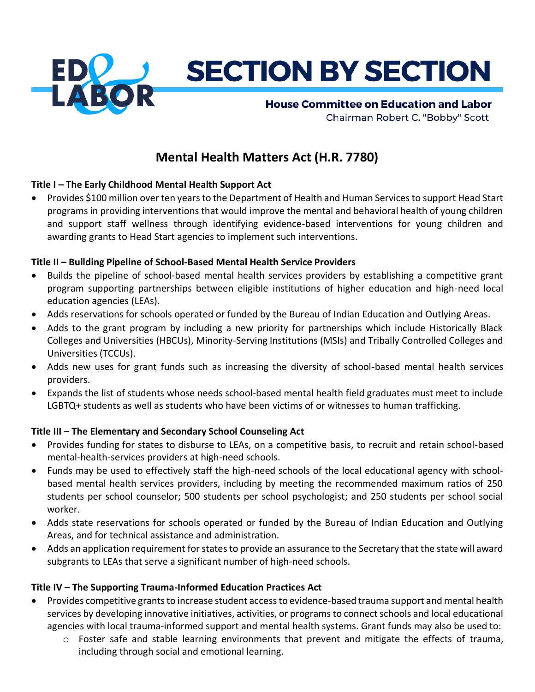

# **Mental Health Matters Act (H.R. 7780)**

# **Title I – The Early Childhood Mental Health Support Act**

• Provides \$100 million over ten years to the Department of Health and Human Services to support Head Start programs in providing interventions that would improve the mental and behavioral health of young children and support staff wellness through identifying evidence-based interventions for young children and awarding grants to Head Start agencies to implement such interventions.

### **Title II – Building Pipeline of School-Based Mental Health Service Providers**

- Builds the pipeline of school-based mental health services providers by establishing a competitive grant program supporting partnerships between eligible institutions of higher education and high-need local education agencies (LEAs).
- Adds reservations for schools operated or funded by the Bureau of Indian Education and Outlying Areas.
- Adds to the grant program by including a new priority for partnerships which include Historically Black Colleges and Universities (HBCUs), Minority-Serving Institutions (MSIs) and Tribally Controlled Colleges and Universities (TCCUs).
- Adds new uses for grant funds such as increasing the diversity of school-based mental health services providers.
- Expands the list of students whose needs school-based mental health field graduates must meet to include LGBTQ+ students as well as students who have been victims of or witnesses to human trafficking.

### **Title III – The Elementary and Secondary School Counseling Act**

- Provides funding for states to disburse to LEAs, on a competitive basis, to recruit and retain school-based mental-health-services providers at high-need schools.
- Funds may be used to effectively staff the high-need schools of the local educational agency with schoolbased mental health services providers, including by meeting the recommended maximum ratios of 250 students per school counselor; 500 students per school psychologist; and 250 students per school social worker.
- Adds state reservations for schools operated or funded by the Bureau of Indian Education and Outlying Areas, and for technical assistance and administration.
- Adds an application requirement for states to provide an assurance to the Secretary that the state will award subgrants to LEAs that serve a significant number of high-need schools.

### **Title IV – The Supporting Trauma-Informed Education Practices Act**

- Provides competitive grants to increase student access to evidence-based trauma support and mental health services by developing innovative initiatives, activities, or programs to connect schools and local educational agencies with local trauma-informed support and mental health systems. Grant funds may also be used to:
	- o Foster safe and stable learning environments that prevent and mitigate the effects of trauma, including through social and emotional learning.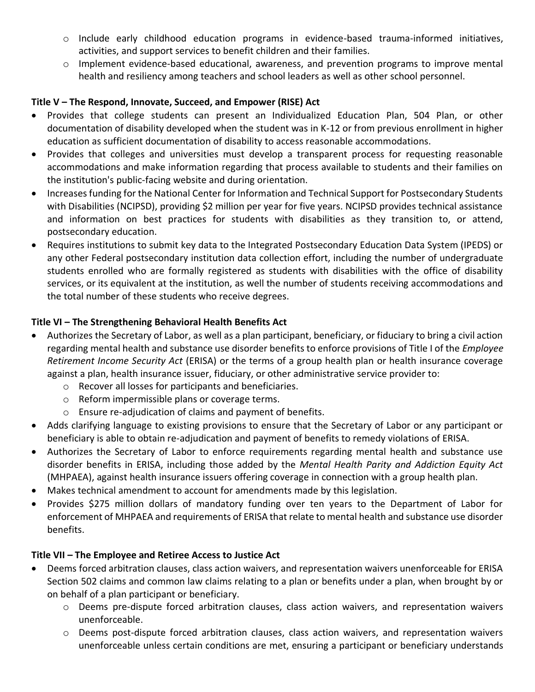- o Include early childhood education programs in evidence-based trauma-informed initiatives, activities, and support services to benefit children and their families.
- $\circ$  Implement evidence-based educational, awareness, and prevention programs to improve mental health and resiliency among teachers and school leaders as well as other school personnel.

### **Title V – The Respond, Innovate, Succeed, and Empower (RISE) Act**

- Provides that college students can present an Individualized Education Plan, 504 Plan, or other documentation of disability developed when the student was in K-12 or from previous enrollment in higher education as sufficient documentation of disability to access reasonable accommodations.
- Provides that colleges and universities must develop a transparent process for requesting reasonable accommodations and make information regarding that process available to students and their families on the institution's public-facing website and during orientation.
- Increases funding for the National Center for Information and Technical Support for Postsecondary Students with Disabilities (NCIPSD), providing \$2 million per year for five years. NCIPSD provides technical assistance and information on best practices for students with disabilities as they transition to, or attend, postsecondary education.
- Requires institutions to submit key data to the Integrated Postsecondary Education Data System (IPEDS) or any other Federal postsecondary institution data collection effort, including the number of undergraduate students enrolled who are formally registered as students with disabilities with the office of disability services, or its equivalent at the institution, as well the number of students receiving accommodations and the total number of these students who receive degrees.

# **Title VI – The Strengthening Behavioral Health Benefits Act**

- Authorizes the Secretary of Labor, as well as a plan participant, beneficiary, or fiduciary to bring a civil action regarding mental health and substance use disorder benefits to enforce provisions of Title I of the *Employee Retirement Income Security Act* (ERISA) or the terms of a group health plan or health insurance coverage against a plan, health insurance issuer, fiduciary, or other administrative service provider to:
	- o Recover all losses for participants and beneficiaries.
	- o Reform impermissible plans or coverage terms.
	- o Ensure re-adjudication of claims and payment of benefits.
- Adds clarifying language to existing provisions to ensure that the Secretary of Labor or any participant or beneficiary is able to obtain re-adjudication and payment of benefits to remedy violations of ERISA.
- Authorizes the Secretary of Labor to enforce requirements regarding mental health and substance use disorder benefits in ERISA, including those added by the *Mental Health Parity and Addiction Equity Act* (MHPAEA), against health insurance issuers offering coverage in connection with a group health plan.
- Makes technical amendment to account for amendments made by this legislation.
- Provides \$275 million dollars of mandatory funding over ten years to the Department of Labor for enforcement of MHPAEA and requirements of ERISA that relate to mental health and substance use disorder benefits.

### **Title VII – The Employee and Retiree Access to Justice Act**

- Deems forced arbitration clauses, class action waivers, and representation waivers unenforceable for ERISA Section 502 claims and common law claims relating to a plan or benefits under a plan, when brought by or on behalf of a plan participant or beneficiary.
	- o Deems pre-dispute forced arbitration clauses, class action waivers, and representation waivers unenforceable.
	- o Deems post-dispute forced arbitration clauses, class action waivers, and representation waivers unenforceable unless certain conditions are met, ensuring a participant or beneficiary understands